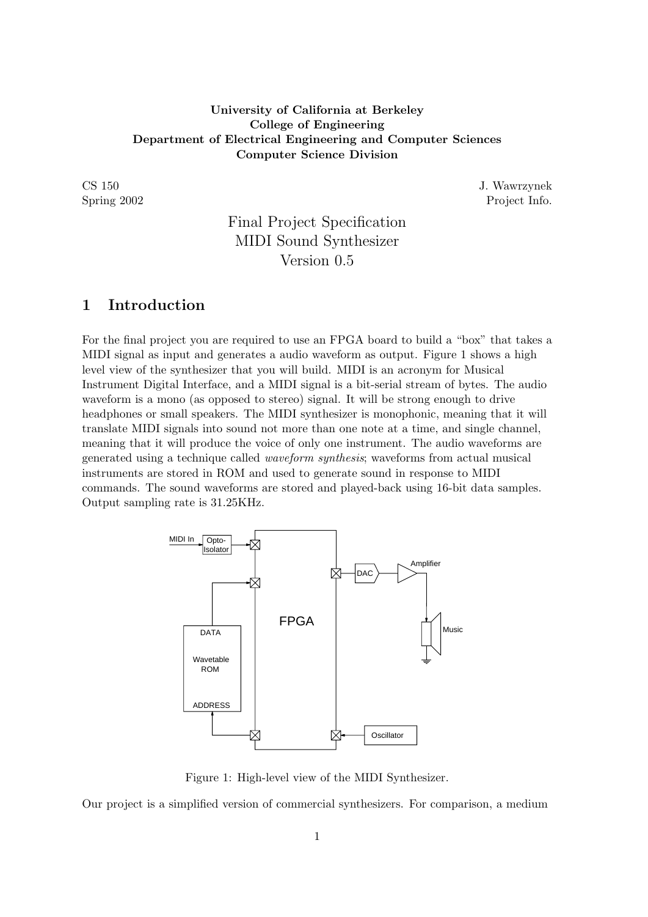### University of California at Berkeley College of Engineering Department of Electrical Engineering and Computer Sciences Computer Science Division

CS 150 J. Wawrzynek Spring 2002 Project Info.

# Final Project Specification MIDI Sound Synthesizer Version 0.5

## 1 Introduction

For the final project you are required to use an FPGA board to build a "box" that takes a MIDI signal as input and generates a audio waveform as output. Figure 1 shows a high level view of the synthesizer that you will build. MIDI is an acronym for Musical Instrument Digital Interface, and a MIDI signal is a bit-serial stream of bytes. The audio waveform is a mono (as opposed to stereo) signal. It will be strong enough to drive headphones or small speakers. The MIDI synthesizer is monophonic, meaning that it will translate MIDI signals into sound not more than one note at a time, and single channel, meaning that it will produce the voice of only one instrument. The audio waveforms are generated using a technique called waveform synthesis; waveforms from actual musical instruments are stored in ROM and used to generate sound in response to MIDI commands. The sound waveforms are stored and played-back using 16-bit data samples. Output sampling rate is 31.25KHz.



Figure 1: High-level view of the MIDI Synthesizer.

Our project is a simplified version of commercial synthesizers. For comparison, a medium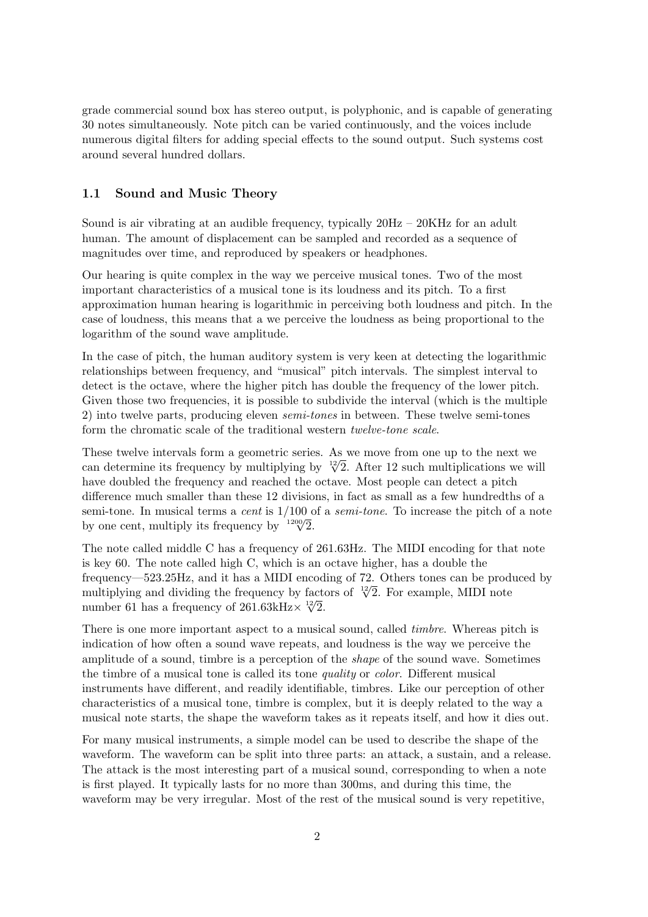grade commercial sound box has stereo output, is polyphonic, and is capable of generating 30 notes simultaneously. Note pitch can be varied continuously, and the voices include numerous digital filters for adding special effects to the sound output. Such systems cost around several hundred dollars.

#### 1.1 Sound and Music Theory

Sound is air vibrating at an audible frequency, typically  $20\text{Hz} - 20\text{KHz}$  for an adult human. The amount of displacement can be sampled and recorded as a sequence of magnitudes over time, and reproduced by speakers or headphones.

Our hearing is quite complex in the way we perceive musical tones. Two of the most important characteristics of a musical tone is its loudness and its pitch. To a first approximation human hearing is logarithmic in perceiving both loudness and pitch. In the case of loudness, this means that a we perceive the loudness as being proportional to the logarithm of the sound wave amplitude.

In the case of pitch, the human auditory system is very keen at detecting the logarithmic relationships between frequency, and "musical" pitch intervals. The simplest interval to detect is the octave, where the higher pitch has double the frequency of the lower pitch. Given those two frequencies, it is possible to subdivide the interval (which is the multiple 2) into twelve parts, producing eleven semi-tones in between. These twelve semi-tones form the chromatic scale of the traditional western twelve-tone scale.

These twelve intervals form a geometric series. As we move from one up to the next we These twelve intervals form a geometric series. As we move from one up to the next we can determine its frequency by multiplying by  $\sqrt[12]{2}$ . After 12 such multiplications we will have doubled the frequency and reached the octave. Most people can detect a pitch difference much smaller than these 12 divisions, in fact as small as a few hundredths of a semi-tone. In musical terms a *cent* is  $1/100$  of a *semi-tone*. To increase the pitch of a note semi-tone. In musical terms a *cent* is  $1/100$  c<br>by one cent, multiply its frequency by  $1200\sqrt{2}$ .

The note called middle C has a frequency of 261.63Hz. The MIDI encoding for that note is key 60. The note called high C, which is an octave higher, has a double the frequency—523.25Hz, and it has a MIDI encoding of 72. Others tones can be produced by multiplying and dividing the frequency by factors of  $\sqrt[12]{2}$ . For example, MIDI note<br>that in the set frequency of  $261.62 \times 12$ /<sub>0</sub>  $\sqrt[12]{2}$ . For example, MIDI note number 61 has a frequency of  $261.63kHz \times \sqrt[12]{2}$ .

There is one more important aspect to a musical sound, called timbre. Whereas pitch is indication of how often a sound wave repeats, and loudness is the way we perceive the amplitude of a sound, timbre is a perception of the shape of the sound wave. Sometimes the timbre of a musical tone is called its tone quality or color. Different musical instruments have different, and readily identifiable, timbres. Like our perception of other characteristics of a musical tone, timbre is complex, but it is deeply related to the way a musical note starts, the shape the waveform takes as it repeats itself, and how it dies out.

For many musical instruments, a simple model can be used to describe the shape of the waveform. The waveform can be split into three parts: an attack, a sustain, and a release. The attack is the most interesting part of a musical sound, corresponding to when a note is first played. It typically lasts for no more than 300ms, and during this time, the waveform may be very irregular. Most of the rest of the musical sound is very repetitive,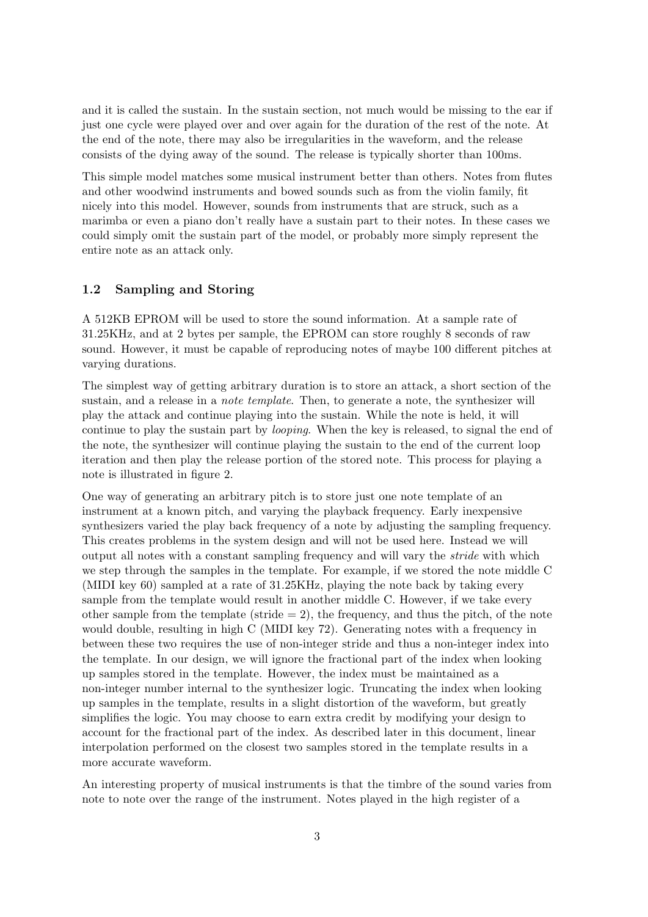and it is called the sustain. In the sustain section, not much would be missing to the ear if just one cycle were played over and over again for the duration of the rest of the note. At the end of the note, there may also be irregularities in the waveform, and the release consists of the dying away of the sound. The release is typically shorter than 100ms.

This simple model matches some musical instrument better than others. Notes from flutes and other woodwind instruments and bowed sounds such as from the violin family, fit nicely into this model. However, sounds from instruments that are struck, such as a marimba or even a piano don't really have a sustain part to their notes. In these cases we could simply omit the sustain part of the model, or probably more simply represent the entire note as an attack only.

#### 1.2 Sampling and Storing

A 512KB EPROM will be used to store the sound information. At a sample rate of 31.25KHz, and at 2 bytes per sample, the EPROM can store roughly 8 seconds of raw sound. However, it must be capable of reproducing notes of maybe 100 different pitches at varying durations.

The simplest way of getting arbitrary duration is to store an attack, a short section of the sustain, and a release in a *note template*. Then, to generate a note, the synthesizer will play the attack and continue playing into the sustain. While the note is held, it will continue to play the sustain part by looping. When the key is released, to signal the end of the note, the synthesizer will continue playing the sustain to the end of the current loop iteration and then play the release portion of the stored note. This process for playing a note is illustrated in figure 2.

One way of generating an arbitrary pitch is to store just one note template of an instrument at a known pitch, and varying the playback frequency. Early inexpensive synthesizers varied the play back frequency of a note by adjusting the sampling frequency. This creates problems in the system design and will not be used here. Instead we will output all notes with a constant sampling frequency and will vary the stride with which we step through the samples in the template. For example, if we stored the note middle C (MIDI key 60) sampled at a rate of 31.25KHz, playing the note back by taking every sample from the template would result in another middle C. However, if we take every other sample from the template (stride  $= 2$ ), the frequency, and thus the pitch, of the note would double, resulting in high C (MIDI key 72). Generating notes with a frequency in between these two requires the use of non-integer stride and thus a non-integer index into the template. In our design, we will ignore the fractional part of the index when looking up samples stored in the template. However, the index must be maintained as a non-integer number internal to the synthesizer logic. Truncating the index when looking up samples in the template, results in a slight distortion of the waveform, but greatly simplifies the logic. You may choose to earn extra credit by modifying your design to account for the fractional part of the index. As described later in this document, linear interpolation performed on the closest two samples stored in the template results in a more accurate waveform.

An interesting property of musical instruments is that the timbre of the sound varies from note to note over the range of the instrument. Notes played in the high register of a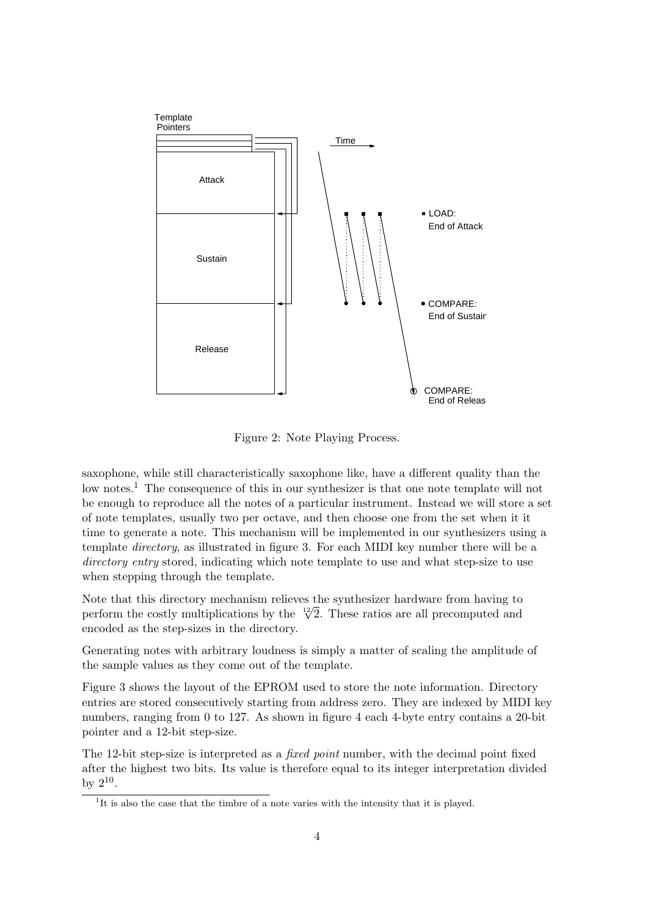

Figure 2: Note Playing Process.

saxophone, while still characteristically saxophone like, have a different quality than the low notes.<sup>1</sup> The consequence of this in our synthesizer is that one note template will not be enough to reproduce all the notes of a particular instrument. Instead we will store a set of note templates, usually two per octave, and then choose one from the set when it it time to generate a note. This mechanism will be implemented in our synthesizers using a template directory, as illustrated in figure 3. For each MIDI key number there will be a directory entry stored, indicating which note template to use and what step-size to use when stepping through the template.

Note that this directory mechanism relieves the synthesizer hardware from having to Note that this directory mechanism relieves the synthesizer hardware from having to perform the costly multiplications by the  $\sqrt[12]{2}$ . These ratios are all precomputed and encoded as the step-sizes in the directory.

Generating notes with arbitrary loudness is simply a matter of scaling the amplitude of the sample values as they come out of the template.

Figure 3 shows the layout of the EPROM used to store the note information. Directory entries are stored consecutively starting from address zero. They are indexed by MIDI key numbers, ranging from 0 to 127. As shown in figure 4 each 4-byte entry contains a 20-bit pointer and a 12-bit step-size.

The 12-bit step-size is interpreted as a *fixed point* number, with the decimal point fixed after the highest two bits. Its value is therefore equal to its integer interpretation divided by  $2^{10}$ .

<sup>&</sup>lt;sup>1</sup>It is also the case that the timbre of a note varies with the intensity that it is played.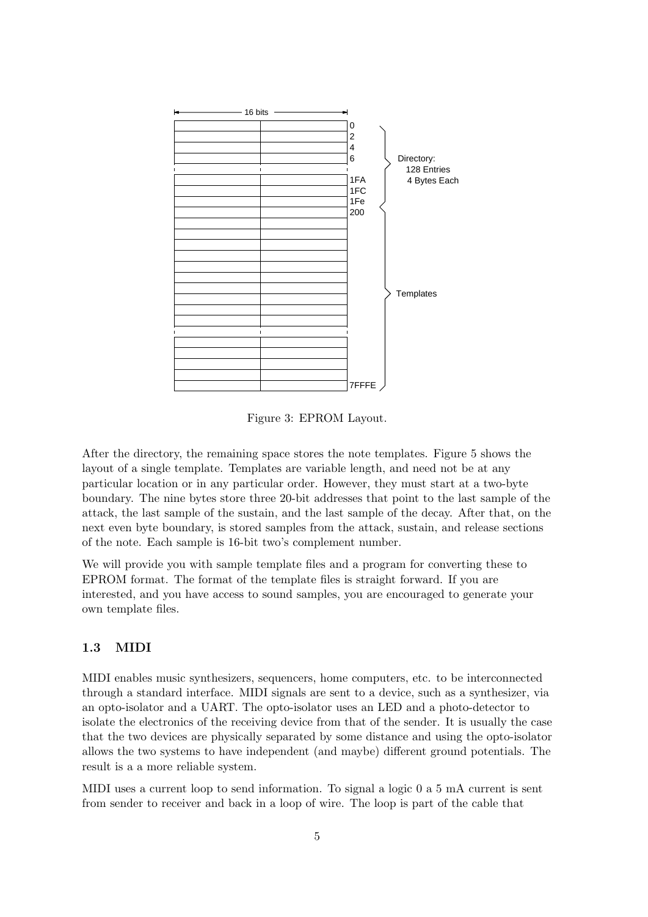

Figure 3: EPROM Layout.

After the directory, the remaining space stores the note templates. Figure 5 shows the layout of a single template. Templates are variable length, and need not be at any particular location or in any particular order. However, they must start at a two-byte boundary. The nine bytes store three 20-bit addresses that point to the last sample of the attack, the last sample of the sustain, and the last sample of the decay. After that, on the next even byte boundary, is stored samples from the attack, sustain, and release sections of the note. Each sample is 16-bit two's complement number.

We will provide you with sample template files and a program for converting these to EPROM format. The format of the template files is straight forward. If you are interested, and you have access to sound samples, you are encouraged to generate your own template files.

#### 1.3 MIDI

MIDI enables music synthesizers, sequencers, home computers, etc. to be interconnected through a standard interface. MIDI signals are sent to a device, such as a synthesizer, via an opto-isolator and a UART. The opto-isolator uses an LED and a photo-detector to isolate the electronics of the receiving device from that of the sender. It is usually the case that the two devices are physically separated by some distance and using the opto-isolator allows the two systems to have independent (and maybe) different ground potentials. The result is a a more reliable system.

MIDI uses a current loop to send information. To signal a logic 0 a 5 mA current is sent from sender to receiver and back in a loop of wire. The loop is part of the cable that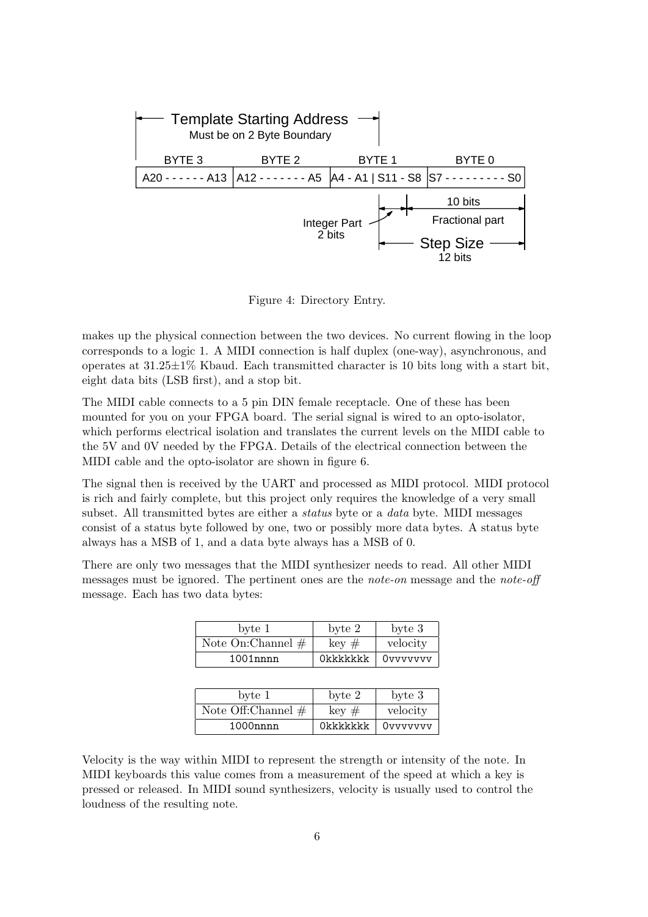

Figure 4: Directory Entry.

makes up the physical connection between the two devices. No current flowing in the loop corresponds to a logic 1. A MIDI connection is half duplex (one-way), asynchronous, and operates at  $31.25\pm1\%$  Kbaud. Each transmitted character is 10 bits long with a start bit, eight data bits (LSB first), and a stop bit.

The MIDI cable connects to a 5 pin DIN female receptacle. One of these has been mounted for you on your FPGA board. The serial signal is wired to an opto-isolator, which performs electrical isolation and translates the current levels on the MIDI cable to the 5V and 0V needed by the FPGA. Details of the electrical connection between the MIDI cable and the opto-isolator are shown in figure 6.

The signal then is received by the UART and processed as MIDI protocol. MIDI protocol is rich and fairly complete, but this project only requires the knowledge of a very small subset. All transmitted bytes are either a status byte or a data byte. MIDI messages consist of a status byte followed by one, two or possibly more data bytes. A status byte always has a MSB of 1, and a data byte always has a MSB of 0.

There are only two messages that the MIDI synthesizer needs to read. All other MIDI messages must be ignored. The pertinent ones are the note-on message and the note-off message. Each has two data bytes:

| byte 1               | byte 2     | byte 3   |
|----------------------|------------|----------|
| Note On: Channel $#$ | $key \neq$ | velocity |
| $1001$ nnnn          | Okkkkkkk   | Ovvvvvvv |

| byte 1               | byte 2            | byte 3   |
|----------------------|-------------------|----------|
| Note Off:Channel $#$ | $\text{keV} \neq$ | velocity |
| $1000$ nnnn          | Okkkkkkk          | Ovvvvvvv |

Velocity is the way within MIDI to represent the strength or intensity of the note. In MIDI keyboards this value comes from a measurement of the speed at which a key is pressed or released. In MIDI sound synthesizers, velocity is usually used to control the loudness of the resulting note.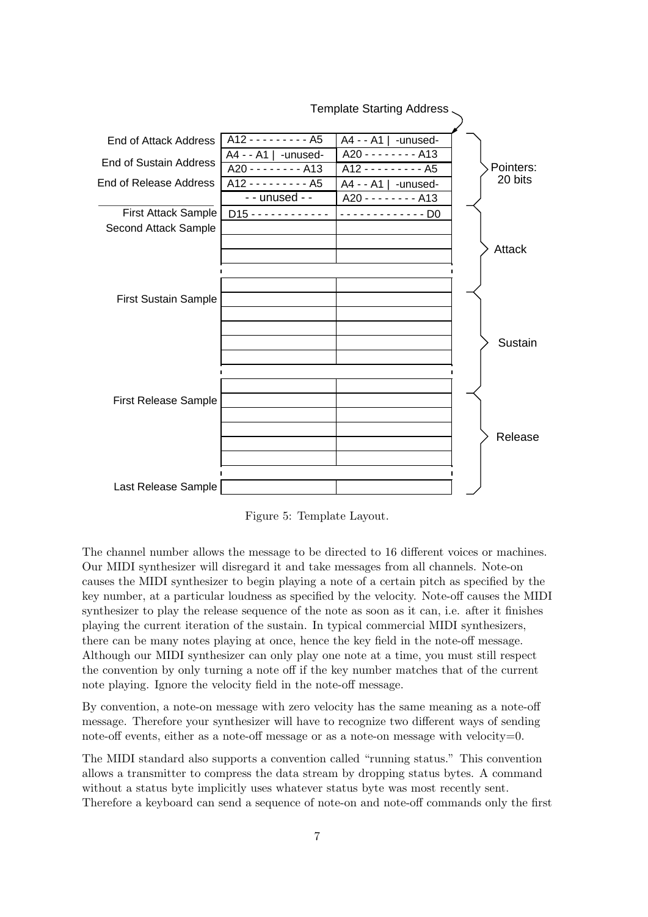

Figure 5: Template Layout.

The channel number allows the message to be directed to 16 different voices or machines. Our MIDI synthesizer will disregard it and take messages from all channels. Note-on causes the MIDI synthesizer to begin playing a note of a certain pitch as specified by the key number, at a particular loudness as specified by the velocity. Note-off causes the MIDI synthesizer to play the release sequence of the note as soon as it can, i.e. after it finishes playing the current iteration of the sustain. In typical commercial MIDI synthesizers, there can be many notes playing at once, hence the key field in the note-off message. Although our MIDI synthesizer can only play one note at a time, you must still respect the convention by only turning a note off if the key number matches that of the current note playing. Ignore the velocity field in the note-off message.

By convention, a note-on message with zero velocity has the same meaning as a note-off message. Therefore your synthesizer will have to recognize two different ways of sending note-off events, either as a note-off message or as a note-on message with velocity= $0$ .

The MIDI standard also supports a convention called "running status." This convention allows a transmitter to compress the data stream by dropping status bytes. A command without a status byte implicitly uses whatever status byte was most recently sent. Therefore a keyboard can send a sequence of note-on and note-off commands only the first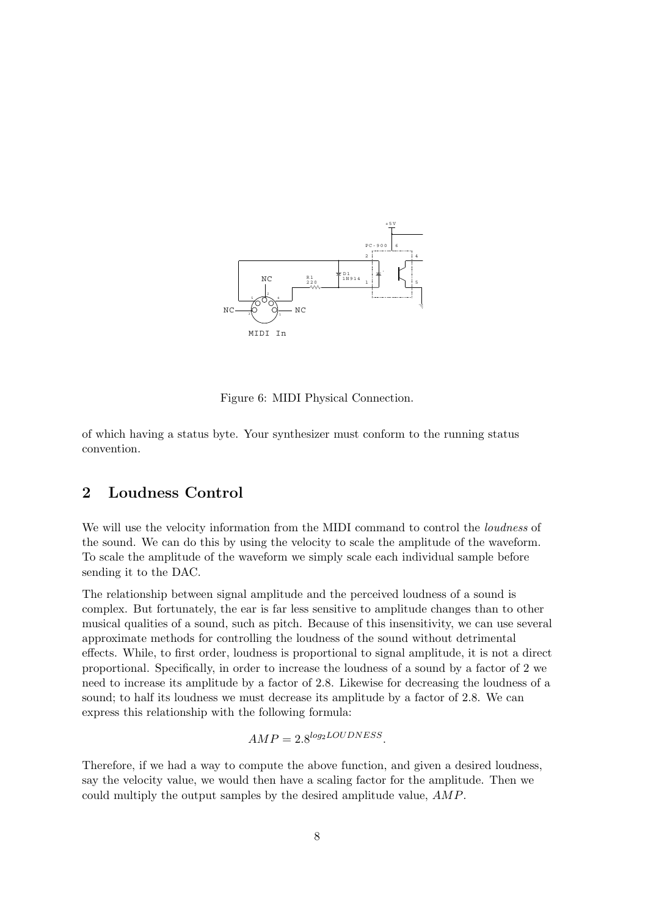

Figure 6: MIDI Physical Connection.

of which having a status byte. Your synthesizer must conform to the running status convention.

## 2 Loudness Control

We will use the velocity information from the MIDI command to control the loudness of the sound. We can do this by using the velocity to scale the amplitude of the waveform. To scale the amplitude of the waveform we simply scale each individual sample before sending it to the DAC.

The relationship between signal amplitude and the perceived loudness of a sound is complex. But fortunately, the ear is far less sensitive to amplitude changes than to other musical qualities of a sound, such as pitch. Because of this insensitivity, we can use several approximate methods for controlling the loudness of the sound without detrimental effects. While, to first order, loudness is proportional to signal amplitude, it is not a direct proportional. Specifically, in order to increase the loudness of a sound by a factor of 2 we need to increase its amplitude by a factor of 2.8. Likewise for decreasing the loudness of a sound; to half its loudness we must decrease its amplitude by a factor of 2.8. We can express this relationship with the following formula:

 $AMP = 2.8<sup>log<sub>2</sub> LOUDNESS</sup>$ .

Therefore, if we had a way to compute the above function, and given a desired loudness, say the velocity value, we would then have a scaling factor for the amplitude. Then we could multiply the output samples by the desired amplitude value, AMP.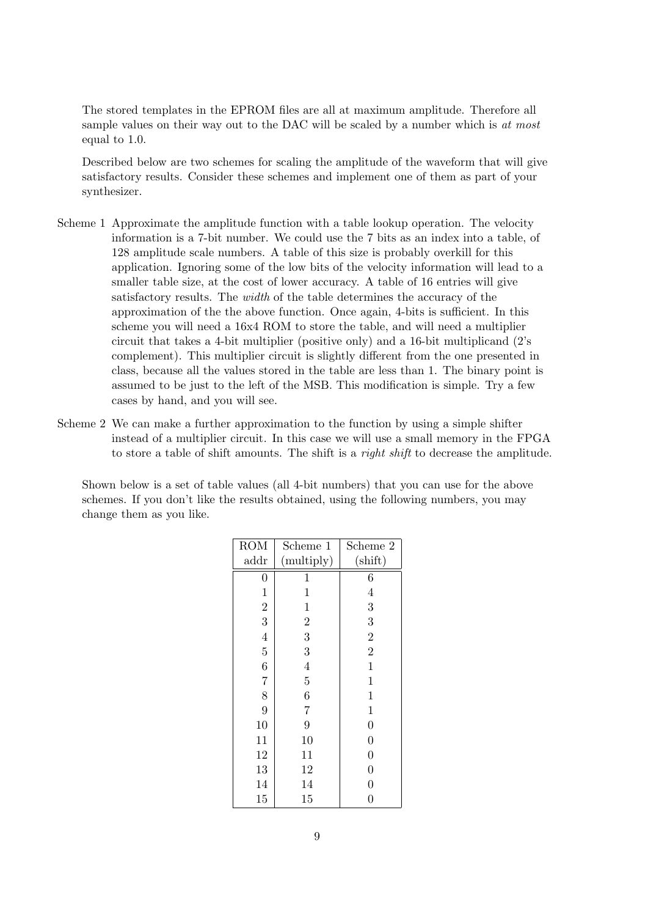The stored templates in the EPROM files are all at maximum amplitude. Therefore all sample values on their way out to the DAC will be scaled by a number which is at most equal to 1.0.

Described below are two schemes for scaling the amplitude of the waveform that will give satisfactory results. Consider these schemes and implement one of them as part of your synthesizer.

- Scheme 1 Approximate the amplitude function with a table lookup operation. The velocity information is a 7-bit number. We could use the 7 bits as an index into a table, of 128 amplitude scale numbers. A table of this size is probably overkill for this application. Ignoring some of the low bits of the velocity information will lead to a smaller table size, at the cost of lower accuracy. A table of 16 entries will give satisfactory results. The width of the table determines the accuracy of the approximation of the the above function. Once again, 4-bits is sufficient. In this scheme you will need a 16x4 ROM to store the table, and will need a multiplier circuit that takes a 4-bit multiplier (positive only) and a 16-bit multiplicand (2's complement). This multiplier circuit is slightly different from the one presented in class, because all the values stored in the table are less than 1. The binary point is assumed to be just to the left of the MSB. This modification is simple. Try a few cases by hand, and you will see.
- Scheme 2 We can make a further approximation to the function by using a simple shifter instead of a multiplier circuit. In this case we will use a small memory in the FPGA to store a table of shift amounts. The shift is a *right shift* to decrease the amplitude.

Shown below is a set of table values (all 4-bit numbers) that you can use for the above schemes. If you don't like the results obtained, using the following numbers, you may change them as you like.

| <b>ROM</b>       | Scheme 1       | Scheme 2         |
|------------------|----------------|------------------|
| addr             | (multiply)     | $(\text{shift})$ |
| $\overline{0}$   | 1              | 6                |
| $\mathbf{1}$     | 1              | $\overline{4}$   |
| $\frac{2}{3}$    | $\mathbf 1$    | 3                |
|                  | $\overline{2}$ | 3                |
| $\overline{4}$   | 3              | $\overline{2}$   |
| $\overline{5}$   | 3              | $\overline{2}$   |
| $\boldsymbol{6}$ | $\overline{4}$ | $\mathbf{1}$     |
| $\overline{7}$   | $\overline{5}$ | $\mathbf 1$      |
| 8                | 6              | $\mathbf{1}$     |
| 9                | $\overline{7}$ | $\mathbf{1}$     |
| 10               | 9              | $\overline{0}$   |
| 11               | 10             | $\overline{0}$   |
| 12               | 11             | $\overline{0}$   |
| 13               | 12             | $\overline{0}$   |
| 14               | 14             | $\overline{0}$   |
| 15               | 15             | $\overline{0}$   |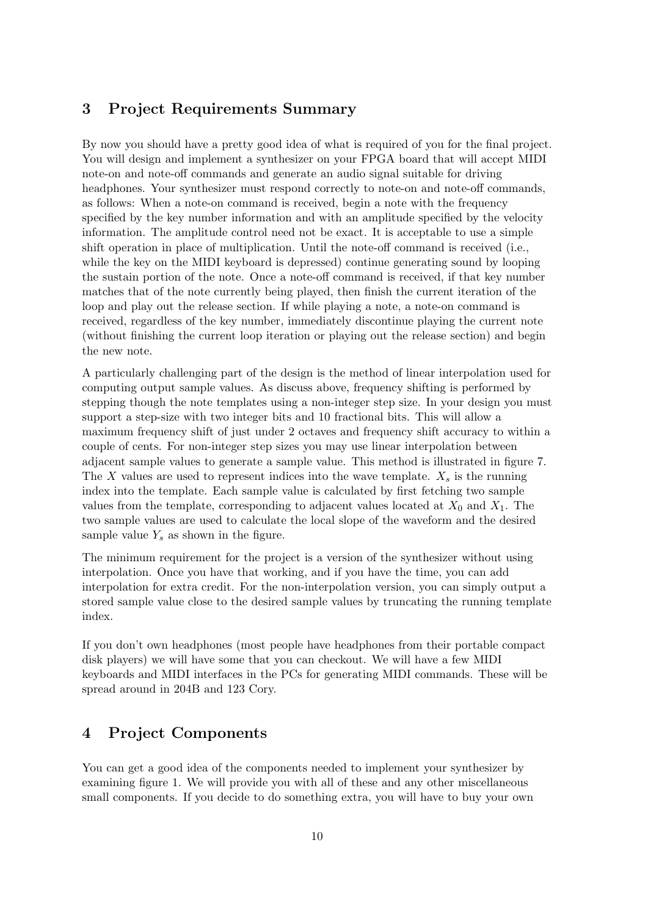## 3 Project Requirements Summary

By now you should have a pretty good idea of what is required of you for the final project. You will design and implement a synthesizer on your FPGA board that will accept MIDI note-on and note-off commands and generate an audio signal suitable for driving headphones. Your synthesizer must respond correctly to note-on and note-off commands, as follows: When a note-on command is received, begin a note with the frequency specified by the key number information and with an amplitude specified by the velocity information. The amplitude control need not be exact. It is acceptable to use a simple shift operation in place of multiplication. Until the note-off command is received (i.e., while the key on the MIDI keyboard is depressed) continue generating sound by looping the sustain portion of the note. Once a note-off command is received, if that key number matches that of the note currently being played, then finish the current iteration of the loop and play out the release section. If while playing a note, a note-on command is received, regardless of the key number, immediately discontinue playing the current note (without finishing the current loop iteration or playing out the release section) and begin the new note.

A particularly challenging part of the design is the method of linear interpolation used for computing output sample values. As discuss above, frequency shifting is performed by stepping though the note templates using a non-integer step size. In your design you must support a step-size with two integer bits and 10 fractional bits. This will allow a maximum frequency shift of just under 2 octaves and frequency shift accuracy to within a couple of cents. For non-integer step sizes you may use linear interpolation between adjacent sample values to generate a sample value. This method is illustrated in figure 7. The X values are used to represent indices into the wave template.  $X_s$  is the running index into the template. Each sample value is calculated by first fetching two sample values from the template, corresponding to adjacent values located at  $X_0$  and  $X_1$ . The two sample values are used to calculate the local slope of the waveform and the desired sample value  $Y_s$  as shown in the figure.

The minimum requirement for the project is a version of the synthesizer without using interpolation. Once you have that working, and if you have the time, you can add interpolation for extra credit. For the non-interpolation version, you can simply output a stored sample value close to the desired sample values by truncating the running template index.

If you don't own headphones (most people have headphones from their portable compact disk players) we will have some that you can checkout. We will have a few MIDI keyboards and MIDI interfaces in the PCs for generating MIDI commands. These will be spread around in 204B and 123 Cory.

## 4 Project Components

You can get a good idea of the components needed to implement your synthesizer by examining figure 1. We will provide you with all of these and any other miscellaneous small components. If you decide to do something extra, you will have to buy your own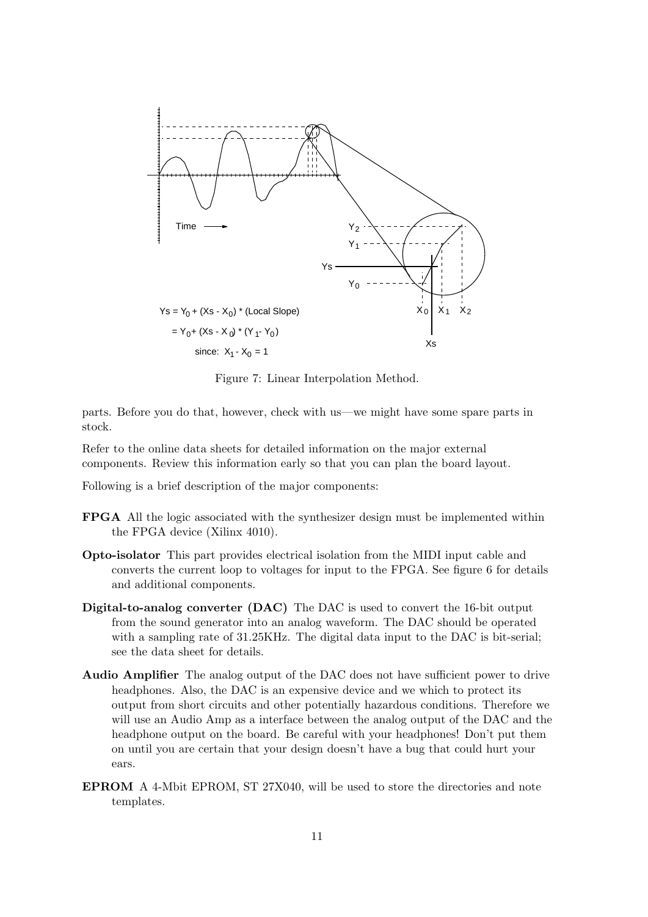

Figure 7: Linear Interpolation Method.

parts. Before you do that, however, check with us—we might have some spare parts in stock.

Refer to the online data sheets for detailed information on the major external components. Review this information early so that you can plan the board layout.

Following is a brief description of the major components:

- FPGA All the logic associated with the synthesizer design must be implemented within the FPGA device (Xilinx 4010).
- Opto-isolator This part provides electrical isolation from the MIDI input cable and converts the current loop to voltages for input to the FPGA. See figure 6 for details and additional components.
- Digital-to-analog converter (DAC) The DAC is used to convert the 16-bit output from the sound generator into an analog waveform. The DAC should be operated with a sampling rate of 31.25KHz. The digital data input to the DAC is bit-serial; see the data sheet for details.
- Audio Amplifier The analog output of the DAC does not have sufficient power to drive headphones. Also, the DAC is an expensive device and we which to protect its output from short circuits and other potentially hazardous conditions. Therefore we will use an Audio Amp as a interface between the analog output of the DAC and the headphone output on the board. Be careful with your headphones! Don't put them on until you are certain that your design doesn't have a bug that could hurt your ears.
- EPROM A 4-Mbit EPROM, ST 27X040, will be used to store the directories and note templates.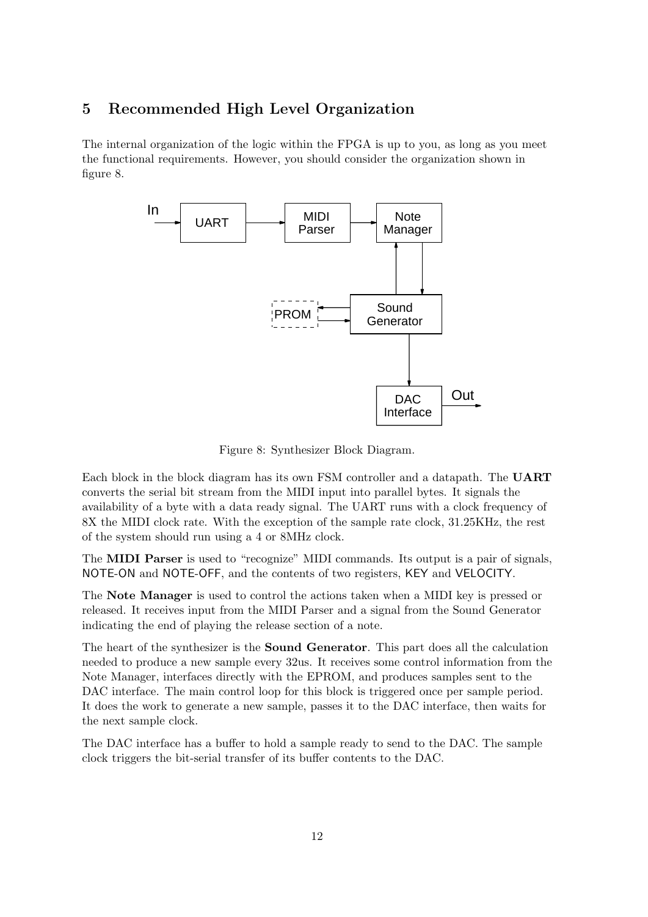## 5 Recommended High Level Organization

The internal organization of the logic within the FPGA is up to you, as long as you meet the functional requirements. However, you should consider the organization shown in figure 8.



Figure 8: Synthesizer Block Diagram.

Each block in the block diagram has its own FSM controller and a datapath. The UART converts the serial bit stream from the MIDI input into parallel bytes. It signals the availability of a byte with a data ready signal. The UART runs with a clock frequency of 8X the MIDI clock rate. With the exception of the sample rate clock, 31.25KHz, the rest of the system should run using a 4 or 8MHz clock.

The MIDI Parser is used to "recognize" MIDI commands. Its output is a pair of signals, NOTE-ON and NOTE-OFF, and the contents of two registers, KEY and VELOCITY.

The Note Manager is used to control the actions taken when a MIDI key is pressed or released. It receives input from the MIDI Parser and a signal from the Sound Generator indicating the end of playing the release section of a note.

The heart of the synthesizer is the Sound Generator. This part does all the calculation needed to produce a new sample every 32us. It receives some control information from the Note Manager, interfaces directly with the EPROM, and produces samples sent to the DAC interface. The main control loop for this block is triggered once per sample period. It does the work to generate a new sample, passes it to the DAC interface, then waits for the next sample clock.

The DAC interface has a buffer to hold a sample ready to send to the DAC. The sample clock triggers the bit-serial transfer of its buffer contents to the DAC.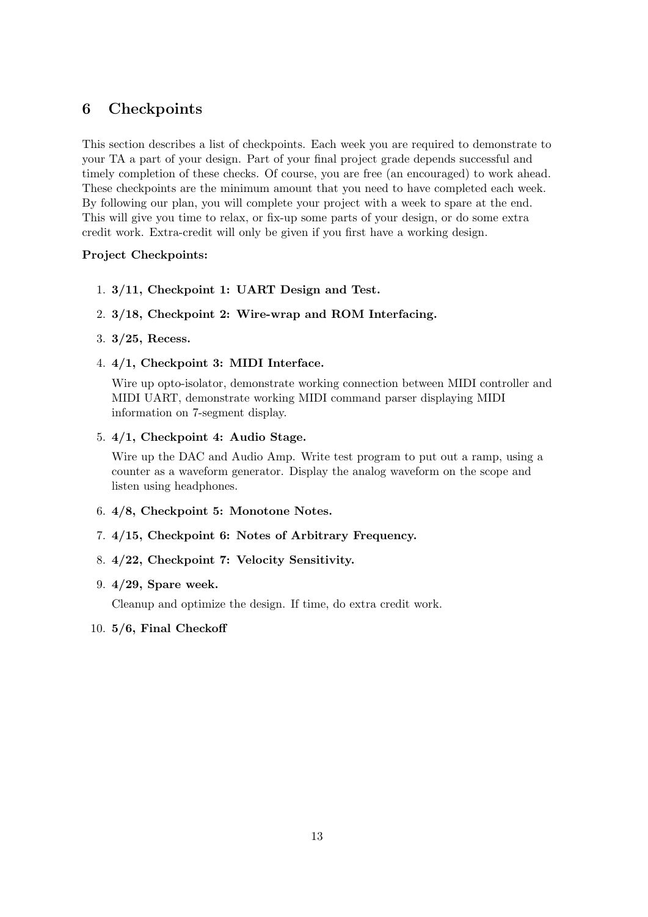## 6 Checkpoints

This section describes a list of checkpoints. Each week you are required to demonstrate to your TA a part of your design. Part of your final project grade depends successful and timely completion of these checks. Of course, you are free (an encouraged) to work ahead. These checkpoints are the minimum amount that you need to have completed each week. By following our plan, you will complete your project with a week to spare at the end. This will give you time to relax, or fix-up some parts of your design, or do some extra credit work. Extra-credit will only be given if you first have a working design.

#### Project Checkpoints:

- 1. 3/11, Checkpoint 1: UART Design and Test.
- 2. 3/18, Checkpoint 2: Wire-wrap and ROM Interfacing.
- 3. 3/25, Recess.
- 4. 4/1, Checkpoint 3: MIDI Interface.

Wire up opto-isolator, demonstrate working connection between MIDI controller and MIDI UART, demonstrate working MIDI command parser displaying MIDI information on 7-segment display.

5. 4/1, Checkpoint 4: Audio Stage.

Wire up the DAC and Audio Amp. Write test program to put out a ramp, using a counter as a waveform generator. Display the analog waveform on the scope and listen using headphones.

- 6. 4/8, Checkpoint 5: Monotone Notes.
- 7. 4/15, Checkpoint 6: Notes of Arbitrary Frequency.
- 8. 4/22, Checkpoint 7: Velocity Sensitivity.

#### 9. 4/29, Spare week.

Cleanup and optimize the design. If time, do extra credit work.

10. 5/6, Final Checkoff